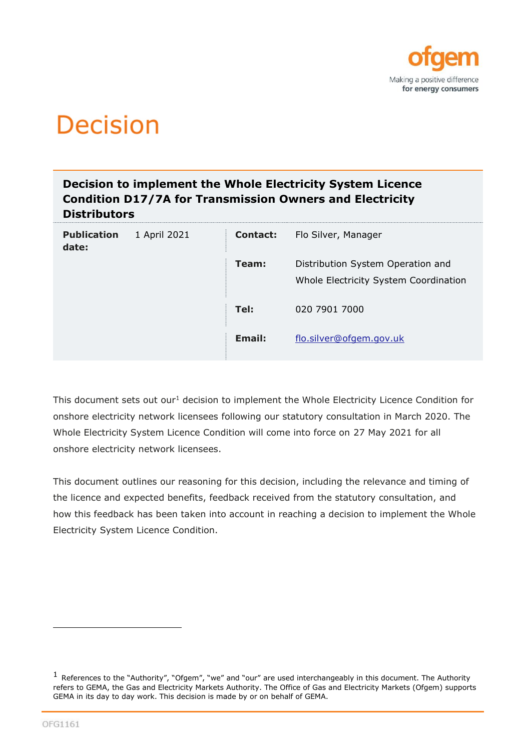

# **Decision**

### **Decision to implement the Whole Electricity System Licence Condition D17/7A for Transmission Owners and Electricity Distributors**

| <b>Publication</b><br>date: | 1 April 2021 | <b>Contact:</b> | Flo Silver, Manager                                                        |
|-----------------------------|--------------|-----------------|----------------------------------------------------------------------------|
|                             |              | Team:           | Distribution System Operation and<br>Whole Electricity System Coordination |
|                             |              | Tel:            | 020 7901 7000                                                              |
|                             |              | Email:          | flo.silver@ofgem.gov.uk                                                    |

This document sets out our<sup>1</sup> decision to implement the Whole Electricity Licence Condition for onshore electricity network licensees following our statutory consultation in March 2020. The Whole Electricity System Licence Condition will come into force on 27 May 2021 for all onshore electricity network licensees.

This document outlines our reasoning for this decision, including the relevance and timing of the licence and expected benefits, feedback received from the statutory consultation, and how this feedback has been taken into account in reaching a decision to implement the Whole Electricity System Licence Condition.

 $1$  References to the "Authority", "Ofgem", "we" and "our" are used interchangeably in this document. The Authority refers to GEMA, the Gas and Electricity Markets Authority. The Office of Gas and Electricity Markets (Ofgem) supports GEMA in its day to day work. This decision is made by or on behalf of GEMA.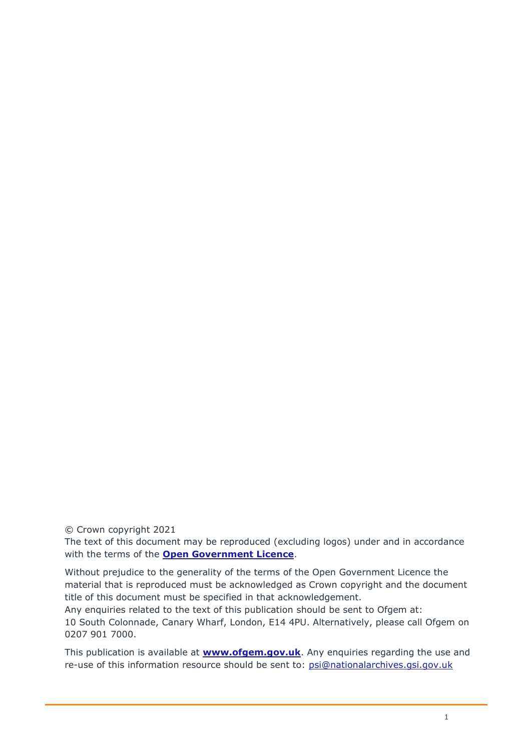© Crown copyright 2021

The text of this document may be reproduced (excluding logos) under and in accordance with the terms of the **[Open Government Licence](http://www.nationalarchives.gov.uk/doc/open-government-licence/version/3/)**.

Without prejudice to the generality of the terms of the Open Government Licence the material that is reproduced must be acknowledged as Crown copyright and the document title of this document must be specified in that acknowledgement.

Any enquiries related to the text of this publication should be sent to Ofgem at: 10 South Colonnade, Canary Wharf, London, E14 4PU. Alternatively, please call Ofgem on 0207 901 7000.

This publication is available at **[www.ofgem.gov.uk](http://www.ofgem.gov.uk/)**. Any enquiries regarding the use and re-use of this information resource should be sent to: [psi@nationalarchives.gsi.gov.uk](mailto:psi@nationalarchives.gsi.gov.uk)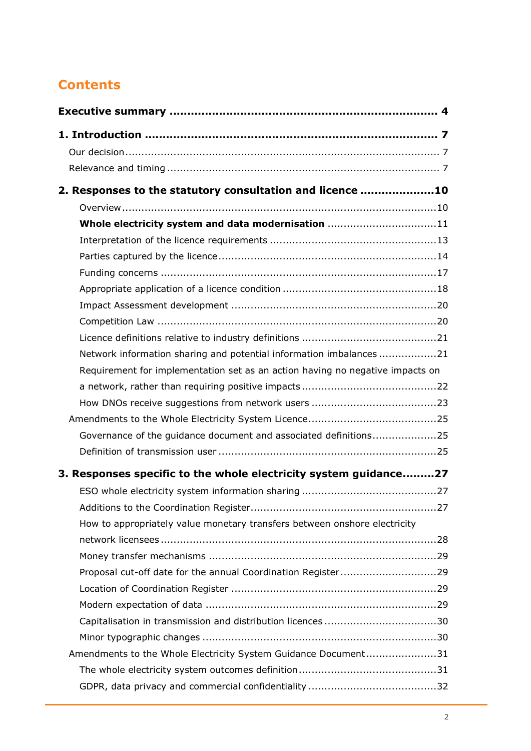# **Contents**

| 2. Responses to the statutory consultation and licence 10                     |  |
|-------------------------------------------------------------------------------|--|
|                                                                               |  |
| Whole electricity system and data modernisation 11                            |  |
|                                                                               |  |
|                                                                               |  |
|                                                                               |  |
|                                                                               |  |
|                                                                               |  |
|                                                                               |  |
|                                                                               |  |
| Network information sharing and potential information imbalances 21           |  |
| Requirement for implementation set as an action having no negative impacts on |  |
|                                                                               |  |
|                                                                               |  |
|                                                                               |  |
| Governance of the guidance document and associated definitions25              |  |
|                                                                               |  |
| 3. Responses specific to the whole electricity system guidance27              |  |
|                                                                               |  |
|                                                                               |  |
| How to appropriately value monetary transfers between onshore electricity     |  |
|                                                                               |  |
|                                                                               |  |
| Proposal cut-off date for the annual Coordination Register29                  |  |
|                                                                               |  |
|                                                                               |  |
|                                                                               |  |
|                                                                               |  |
| Amendments to the Whole Electricity System Guidance Document31                |  |
|                                                                               |  |
|                                                                               |  |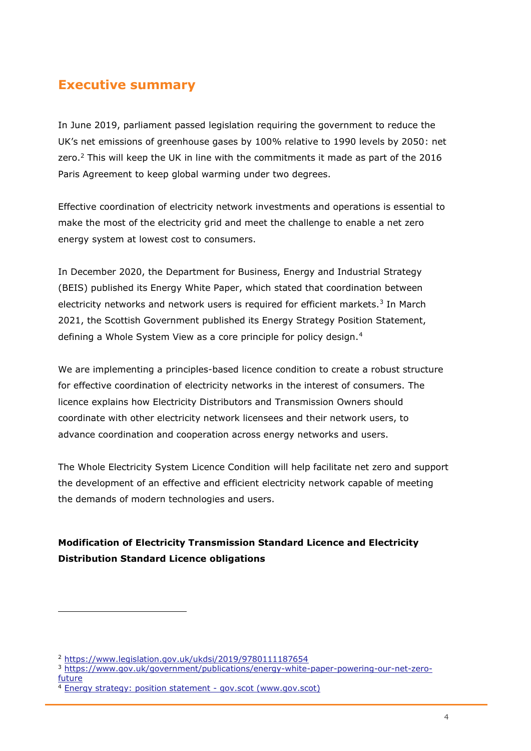# <span id="page-4-0"></span>**Executive summary**

In June 2019, parliament passed legislation requiring the government to reduce the UK's net emissions of greenhouse gases by 100% relative to 1990 levels by 2050: net zero.<sup>2</sup> This will keep the UK in line with the commitments it made as part of the 2016 Paris Agreement to keep global warming under two degrees.

Effective coordination of electricity network investments and operations is essential to make the most of the electricity grid and meet the challenge to enable a net zero energy system at lowest cost to consumers.

In December 2020, the Department for Business, Energy and Industrial Strategy (BEIS) published its Energy White Paper, which stated that coordination between electricity networks and network users is required for efficient markets.<sup>3</sup> In March 2021, the Scottish Government published its Energy Strategy Position Statement, defining a Whole System View as a core principle for policy design.<sup>4</sup>

We are implementing a principles-based licence condition to create a robust structure for effective coordination of electricity networks in the interest of consumers. The licence explains how Electricity Distributors and Transmission Owners should coordinate with other electricity network licensees and their network users, to advance coordination and cooperation across energy networks and users.

The Whole Electricity System Licence Condition will help facilitate net zero and support the development of an effective and efficient electricity network capable of meeting the demands of modern technologies and users.

### **Modification of Electricity Transmission Standard Licence and Electricity Distribution Standard Licence obligations**

<sup>2</sup> <https://www.legislation.gov.uk/ukdsi/2019/9780111187654>

<sup>3</sup> [https://www.gov.uk/government/publications/energy-white-paper-powering-our-net-zero](https://www.gov.uk/government/publications/energy-white-paper-powering-our-net-zero-future)[future](https://www.gov.uk/government/publications/energy-white-paper-powering-our-net-zero-future)

[Energy strategy: position statement -](https://www.gov.scot/publications/scotlands-energy-strategy-position-statement/) gov.scot (www.gov.scot)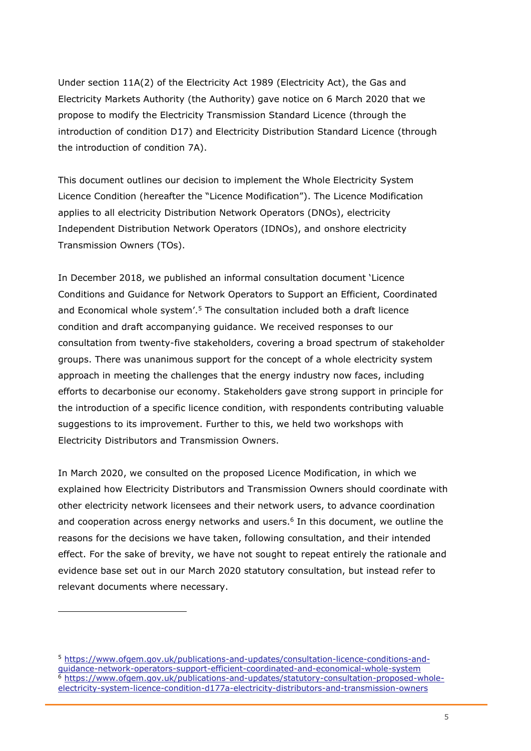Under section 11A(2) of the Electricity Act 1989 (Electricity Act), the Gas and Electricity Markets Authority (the Authority) gave notice on 6 March 2020 that we propose to modify the Electricity Transmission Standard Licence (through the introduction of condition D17) and Electricity Distribution Standard Licence (through the introduction of condition 7A).

This document outlines our decision to implement the Whole Electricity System Licence Condition (hereafter the "Licence Modification"). The Licence Modification applies to all electricity Distribution Network Operators (DNOs), electricity Independent Distribution Network Operators (IDNOs), and onshore electricity Transmission Owners (TOs).

In December 2018, we published an informal consultation document 'Licence Conditions and Guidance for Network Operators to Support an Efficient, Coordinated and Economical whole system<sup>', 5</sup> The consultation included both a draft licence condition and draft accompanying guidance. We received responses to our consultation from twenty-five stakeholders, covering a broad spectrum of stakeholder groups. There was unanimous support for the concept of a whole electricity system approach in meeting the challenges that the energy industry now faces, including efforts to decarbonise our economy. Stakeholders gave strong support in principle for the introduction of a specific licence condition, with respondents contributing valuable suggestions to its improvement. Further to this, we held two workshops with Electricity Distributors and Transmission Owners.

In March 2020, we consulted on the proposed Licence Modification, in which we explained how Electricity Distributors and Transmission Owners should coordinate with other electricity network licensees and their network users, to advance coordination and cooperation across energy networks and users.<sup>6</sup> In this document, we outline the reasons for the decisions we have taken, following consultation, and their intended effect. For the sake of brevity, we have not sought to repeat entirely the rationale and evidence base set out in our March 2020 statutory consultation, but instead refer to relevant documents where necessary.

<sup>5</sup> [https://www.ofgem.gov.uk/publications-and-updates/consultation-licence-conditions-and](https://www.ofgem.gov.uk/publications-and-updates/consultation-licence-conditions-and-guidance-network-operators-support-efficient-coordinated-and-economical-whole-system)[guidance-network-operators-support-efficient-coordinated-and-economical-whole-system](https://www.ofgem.gov.uk/publications-and-updates/consultation-licence-conditions-and-guidance-network-operators-support-efficient-coordinated-and-economical-whole-system)  $\frac{6}{6}$  [https://www.ofgem.gov.uk/publications-and-updates/statutory-consultation-proposed-whole](https://www.ofgem.gov.uk/publications-and-updates/statutory-consultation-proposed-whole-electricity-system-licence-condition-d177a-electricity-distributors-and-transmission-owners)[electricity-system-licence-condition-d177a-electricity-distributors-and-transmission-owners](https://www.ofgem.gov.uk/publications-and-updates/statutory-consultation-proposed-whole-electricity-system-licence-condition-d177a-electricity-distributors-and-transmission-owners)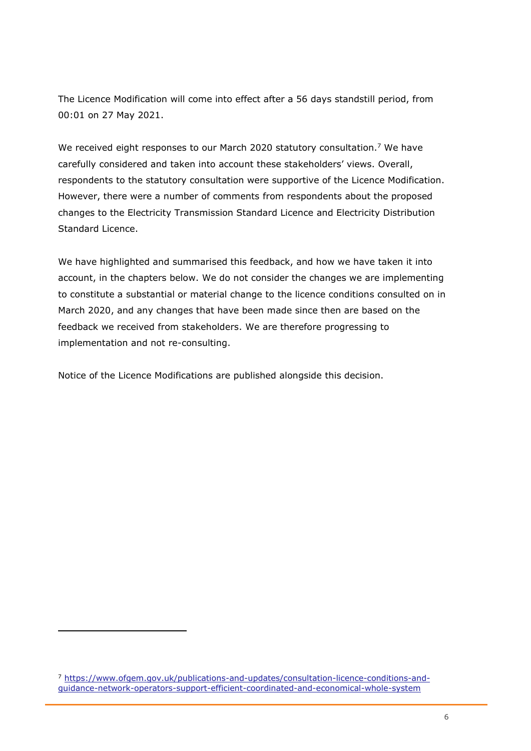The Licence Modification will come into effect after a 56 days standstill period, from 00:01 on 27 May 2021.

We received eight responses to our March 2020 statutory consultation.<sup>7</sup> We have carefully considered and taken into account these stakeholders' views. Overall, respondents to the statutory consultation were supportive of the Licence Modification. However, there were a number of comments from respondents about the proposed changes to the Electricity Transmission Standard Licence and Electricity Distribution Standard Licence.

We have highlighted and summarised this feedback, and how we have taken it into account, in the chapters below. We do not consider the changes we are implementing to constitute a substantial or material change to the licence conditions consulted on in March 2020, and any changes that have been made since then are based on the feedback we received from stakeholders. We are therefore progressing to implementation and not re-consulting.

Notice of the Licence Modifications are published alongside this decision.

<sup>7</sup> [https://www.ofgem.gov.uk/publications-and-updates/consultation-licence-conditions-and](https://www.ofgem.gov.uk/publications-and-updates/consultation-licence-conditions-and-guidance-network-operators-support-efficient-coordinated-and-economical-whole-system)[guidance-network-operators-support-efficient-coordinated-and-economical-whole-system](https://www.ofgem.gov.uk/publications-and-updates/consultation-licence-conditions-and-guidance-network-operators-support-efficient-coordinated-and-economical-whole-system)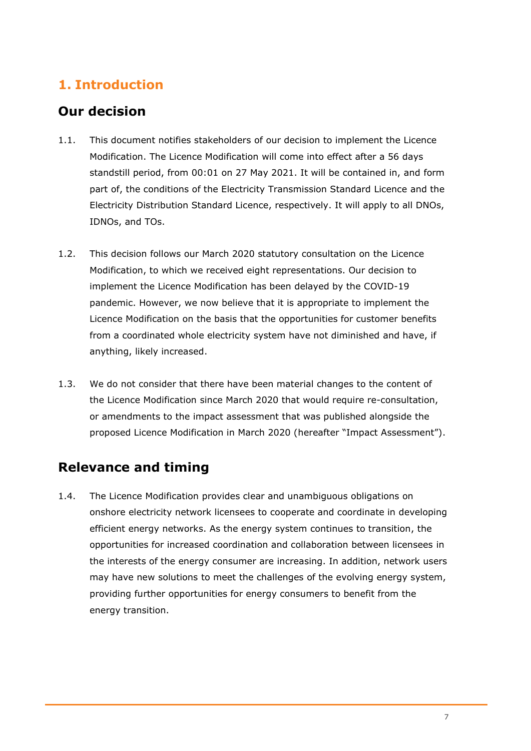# <span id="page-7-0"></span>**1. Introduction**

# <span id="page-7-1"></span>**Our decision**

- 1.1. This document notifies stakeholders of our decision to implement the Licence Modification. The Licence Modification will come into effect after a 56 days standstill period, from 00:01 on 27 May 2021. It will be contained in, and form part of, the conditions of the Electricity Transmission Standard Licence and the Electricity Distribution Standard Licence, respectively. It will apply to all DNOs, IDNOs, and TOs.
- 1.2. This decision follows our March 2020 statutory consultation on the Licence Modification, to which we received eight representations. Our decision to implement the Licence Modification has been delayed by the COVID-19 pandemic. However, we now believe that it is appropriate to implement the Licence Modification on the basis that the opportunities for customer benefits from a coordinated whole electricity system have not diminished and have, if anything, likely increased.
- 1.3. We do not consider that there have been material changes to the content of the Licence Modification since March 2020 that would require re-consultation, or amendments to the impact assessment that was published alongside the proposed Licence Modification in March 2020 (hereafter "Impact Assessment").

# <span id="page-7-2"></span>**Relevance and timing**

1.4. The Licence Modification provides clear and unambiguous obligations on onshore electricity network licensees to cooperate and coordinate in developing efficient energy networks. As the energy system continues to transition, the opportunities for increased coordination and collaboration between licensees in the interests of the energy consumer are increasing. In addition, network users may have new solutions to meet the challenges of the evolving energy system, providing further opportunities for energy consumers to benefit from the energy transition.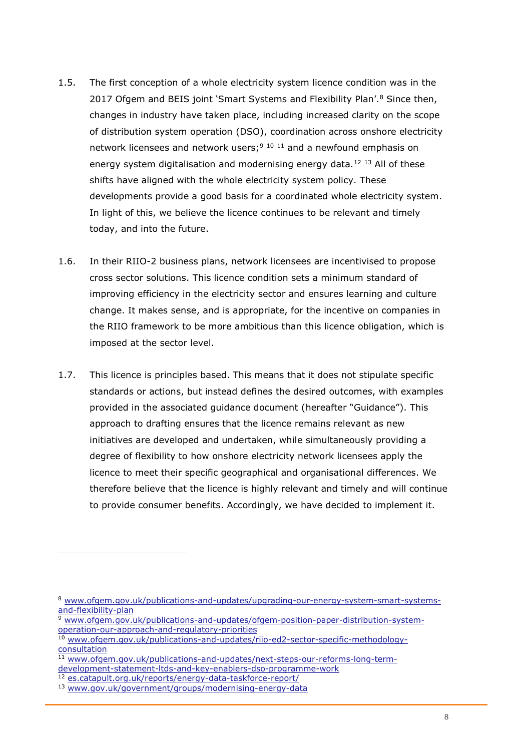- 1.5. The first conception of a whole electricity system licence condition was in the 2017 Ofgem and BEIS joint 'Smart Systems and Flexibility Plan'.<sup>8</sup> Since then, changes in industry have taken place, including increased clarity on the scope of distribution system operation (DSO), coordination across onshore electricity network licensees and network users;<sup>9 10 11</sup> and a newfound emphasis on energy system digitalisation and modernising energy data.<sup>12 13</sup> All of these shifts have aligned with the whole electricity system policy. These developments provide a good basis for a coordinated whole electricity system. In light of this, we believe the licence continues to be relevant and timely today, and into the future.
- 1.6. In their RIIO-2 business plans, network licensees are incentivised to propose cross sector solutions. This licence condition sets a minimum standard of improving efficiency in the electricity sector and ensures learning and culture change. It makes sense, and is appropriate, for the incentive on companies in the RIIO framework to be more ambitious than this licence obligation, which is imposed at the sector level.
- 1.7. This licence is principles based. This means that it does not stipulate specific standards or actions, but instead defines the desired outcomes, with examples provided in the associated guidance document (hereafter "Guidance"). This approach to drafting ensures that the licence remains relevant as new initiatives are developed and undertaken, while simultaneously providing a degree of flexibility to how onshore electricity network licensees apply the licence to meet their specific geographical and organisational differences. We therefore believe that the licence is highly relevant and timely and will continue to provide consumer benefits. Accordingly, we have decided to implement it.

<sup>8</sup> [www.ofgem.gov.uk/publications-and-updates/upgrading-our-energy-system-smart-systems](http://www.ofgem.gov.uk/publications-and-updates/upgrading-our-energy-system-smart-systems-and-flexibility-plan)[and-flexibility-plan](http://www.ofgem.gov.uk/publications-and-updates/upgrading-our-energy-system-smart-systems-and-flexibility-plan)

[www.ofgem.gov.uk/publications-and-updates/ofgem-position-paper-distribution-system](http://www.ofgem.gov.uk/publications-and-updates/ofgem-position-paper-distribution-system-operation-our-approach-and-regulatory-priorities)[operation-our-approach-and-regulatory-priorities](http://www.ofgem.gov.uk/publications-and-updates/ofgem-position-paper-distribution-system-operation-our-approach-and-regulatory-priorities)

<sup>10</sup> [www.ofgem.gov.uk/publications-and-updates/riio-ed2-sector-specific-methodology](http://www.ofgem.gov.uk/publications-and-updates/riio-ed2-sector-specific-methodology-consultation)[consultation](http://www.ofgem.gov.uk/publications-and-updates/riio-ed2-sector-specific-methodology-consultation)

<sup>11</sup> [www.ofgem.gov.uk/publications-and-updates/next-steps-our-reforms-long-term](http://www.ofgem.gov.uk/publications-and-updates/next-steps-our-reforms-long-term-development-statement-ltds-and-key-enablers-dso-programme-work)[development-statement-ltds-and-key-enablers-dso-programme-work](http://www.ofgem.gov.uk/publications-and-updates/next-steps-our-reforms-long-term-development-statement-ltds-and-key-enablers-dso-programme-work)

<sup>12</sup> [es.catapult.org.uk/reports/energy-data-taskforce-report/](https://es.catapult.org.uk/reports/energy-data-taskforce-report/)

<sup>13</sup> [www.gov.uk/government/groups/modernising-energy-data](http://www.gov.uk/government/groups/modernising-energy-data)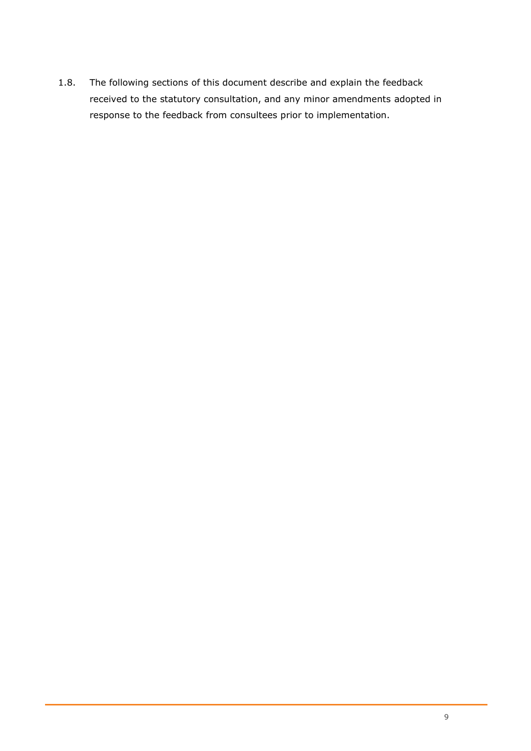1.8. The following sections of this document describe and explain the feedback received to the statutory consultation, and any minor amendments adopted in response to the feedback from consultees prior to implementation.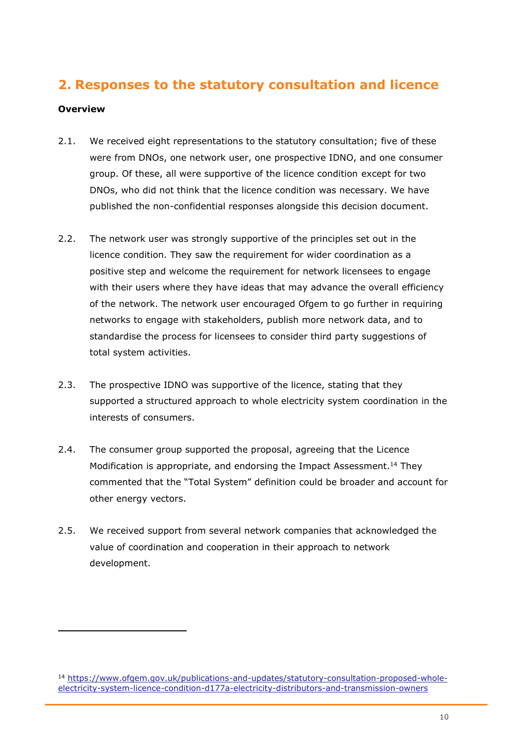# <span id="page-10-0"></span>**2. Responses to the statutory consultation and licence**

#### <span id="page-10-1"></span>**Overview**

- 2.1. We received eight representations to the statutory consultation; five of these were from DNOs, one network user, one prospective IDNO, and one consumer group. Of these, all were supportive of the licence condition except for two DNOs, who did not think that the licence condition was necessary. We have published the non-confidential responses alongside this decision document.
- 2.2. The network user was strongly supportive of the principles set out in the licence condition. They saw the requirement for wider coordination as a positive step and welcome the requirement for network licensees to engage with their users where they have ideas that may advance the overall efficiency of the network. The network user encouraged Ofgem to go further in requiring networks to engage with stakeholders, publish more network data, and to standardise the process for licensees to consider third party suggestions of total system activities.
- 2.3. The prospective IDNO was supportive of the licence, stating that they supported a structured approach to whole electricity system coordination in the interests of consumers.
- 2.4. The consumer group supported the proposal, agreeing that the Licence Modification is appropriate, and endorsing the Impact Assessment.<sup>14</sup> They commented that the "Total System" definition could be broader and account for other energy vectors.
- 2.5. We received support from several network companies that acknowledged the value of coordination and cooperation in their approach to network development.

<sup>14</sup> [https://www.ofgem.gov.uk/publications-and-updates/statutory-consultation-proposed-whole](https://www.ofgem.gov.uk/publications-and-updates/statutory-consultation-proposed-whole-electricity-system-licence-condition-d177a-electricity-distributors-and-transmission-owners)[electricity-system-licence-condition-d177a-electricity-distributors-and-transmission-owners](https://www.ofgem.gov.uk/publications-and-updates/statutory-consultation-proposed-whole-electricity-system-licence-condition-d177a-electricity-distributors-and-transmission-owners)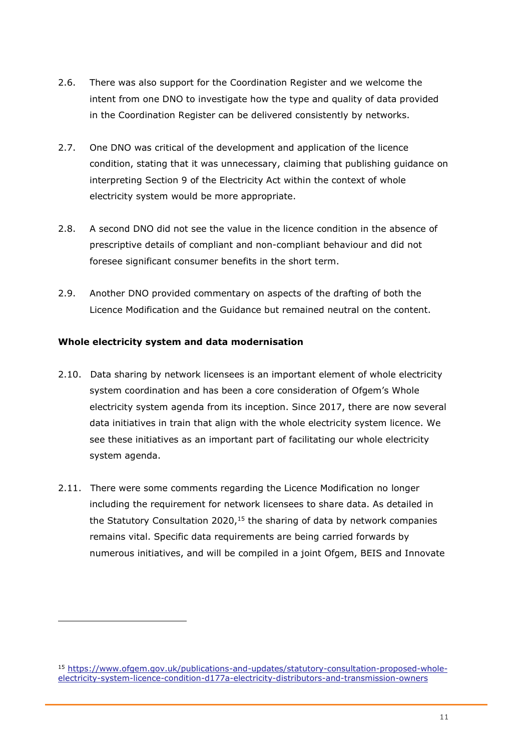- 2.6. There was also support for the Coordination Register and we welcome the intent from one DNO to investigate how the type and quality of data provided in the Coordination Register can be delivered consistently by networks.
- 2.7. One DNO was critical of the development and application of the licence condition, stating that it was unnecessary, claiming that publishing guidance on interpreting Section 9 of the Electricity Act within the context of whole electricity system would be more appropriate.
- 2.8. A second DNO did not see the value in the licence condition in the absence of prescriptive details of compliant and non-compliant behaviour and did not foresee significant consumer benefits in the short term.
- 2.9. Another DNO provided commentary on aspects of the drafting of both the Licence Modification and the Guidance but remained neutral on the content.

#### <span id="page-11-0"></span>**Whole electricity system and data modernisation**

- 2.10. Data sharing by network licensees is an important element of whole electricity system coordination and has been a core consideration of Ofgem's Whole electricity system agenda from its inception. Since 2017, there are now several data initiatives in train that align with the whole electricity system licence. We see these initiatives as an important part of facilitating our whole electricity system agenda.
- 2.11. There were some comments regarding the Licence Modification no longer including the requirement for network licensees to share data. As detailed in the Statutory Consultation 2020,<sup>15</sup> the sharing of data by network companies remains vital. Specific data requirements are being carried forwards by numerous initiatives, and will be compiled in a joint Ofgem, BEIS and Innovate

<sup>15</sup> [https://www.ofgem.gov.uk/publications-and-updates/statutory-consultation-proposed-whole](https://www.ofgem.gov.uk/publications-and-updates/statutory-consultation-proposed-whole-electricity-system-licence-condition-d177a-electricity-distributors-and-transmission-owners)[electricity-system-licence-condition-d177a-electricity-distributors-and-transmission-owners](https://www.ofgem.gov.uk/publications-and-updates/statutory-consultation-proposed-whole-electricity-system-licence-condition-d177a-electricity-distributors-and-transmission-owners)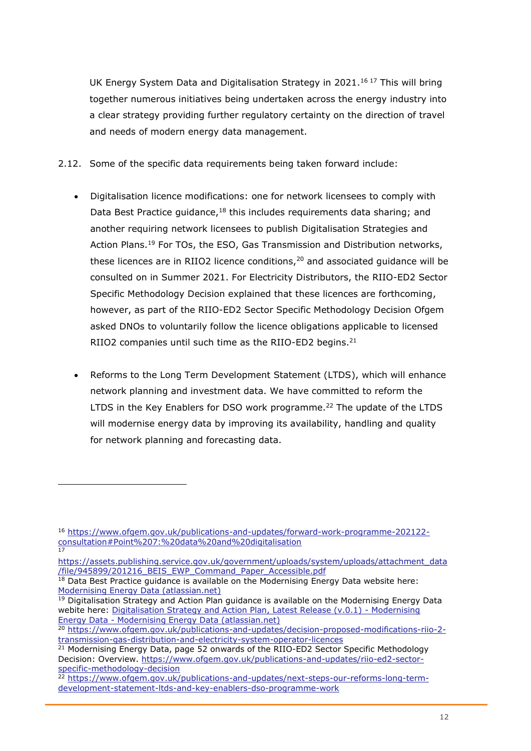UK Energy System Data and Digitalisation Strategy in 2021.<sup>16 17</sup> This will bring together numerous initiatives being undertaken across the energy industry into a clear strategy providing further regulatory certainty on the direction of travel and needs of modern energy data management.

- 2.12. Some of the specific data requirements being taken forward include:
	- Digitalisation licence modifications: one for network licensees to comply with Data Best Practice guidance,<sup>18</sup> this includes requirements data sharing; and another requiring network licensees to publish Digitalisation Strategies and Action Plans.<sup>19</sup> For TOs, the ESO, Gas Transmission and Distribution networks, these licences are in RIIO2 licence conditions, $20$  and associated guidance will be consulted on in Summer 2021. For Electricity Distributors, the RIIO-ED2 Sector Specific Methodology Decision explained that these licences are forthcoming, however, as part of the RIIO-ED2 Sector Specific Methodology Decision Ofgem asked DNOs to voluntarily follow the licence obligations applicable to licensed RIIO2 companies until such time as the RIIO-ED2 begins.<sup>21</sup>
	- Reforms to the Long Term Development Statement (LTDS), which will enhance network planning and investment data. We have committed to reform the LTDS in the Key Enablers for DSO work programme.<sup>22</sup> The update of the LTDS will modernise energy data by improving its availability, handling and quality for network planning and forecasting data.

<sup>16</sup> [https://www.ofgem.gov.uk/publications-and-updates/forward-work-programme-202122](https://www.ofgem.gov.uk/publications-and-updates/forward-work-programme-202122-consultation#Point%207:%20data%20and%20digitalisation) [consultation#Point%207:%20data%20and%20digitalisation](https://www.ofgem.gov.uk/publications-and-updates/forward-work-programme-202122-consultation#Point%207:%20data%20and%20digitalisation) 17

[https://assets.publishing.service.gov.uk/government/uploads/system/uploads/attachment\\_data](https://assets.publishing.service.gov.uk/government/uploads/system/uploads/attachment_data/file/945899/201216_BEIS_EWP_Command_Paper_Accessible.pdf) [/file/945899/201216\\_BEIS\\_EWP\\_Command\\_Paper\\_Accessible.pdf](https://assets.publishing.service.gov.uk/government/uploads/system/uploads/attachment_data/file/945899/201216_BEIS_EWP_Command_Paper_Accessible.pdf)

 $18$  Data Best Practice guidance is available on the Modernising Energy Data website here: [Modernising Energy Data \(atlassian.net\)](https://modernisingenergydata.atlassian.net/wiki/spaces/MED/pages/69042178/Data+Best+Practice+latest+release+v0.21)

<sup>&</sup>lt;sup>19</sup> Digitalisation Strategy and Action Plan guidance is available on the Modernising Energy Data webite here: [Digitalisation Strategy and Action Plan, Latest Release \(v.0.1\) -](https://modernisingenergydata.atlassian.net/wiki/spaces/MED/pages/857702401/Digitalisation+Strategy+and+Action+Plan+Latest+Release+v.0.1) Modernising Energy Data - [Modernising Energy Data \(atlassian.net\)](https://modernisingenergydata.atlassian.net/wiki/spaces/MED/pages/857702401/Digitalisation+Strategy+and+Action+Plan+Latest+Release+v.0.1)

<sup>20</sup> [https://www.ofgem.gov.uk/publications-and-updates/decision-proposed-modifications-riio-2](https://www.ofgem.gov.uk/publications-and-updates/decision-proposed-modifications-riio-2-transmission-gas-distribution-and-electricity-system-operator-licences) [transmission-gas-distribution-and-electricity-system-operator-licences](https://www.ofgem.gov.uk/publications-and-updates/decision-proposed-modifications-riio-2-transmission-gas-distribution-and-electricity-system-operator-licences)

<sup>&</sup>lt;sup>21</sup> Modernising Energy Data, page 52 onwards of the RIIO-ED2 Sector Specific Methodology Decision: Overview. [https://www.ofgem.gov.uk/publications-and-updates/riio-ed2-sector](https://www.ofgem.gov.uk/publications-and-updates/riio-ed2-sector-specific-methodology-decision)[specific-methodology-decision](https://www.ofgem.gov.uk/publications-and-updates/riio-ed2-sector-specific-methodology-decision)

<sup>&</sup>lt;sup>22</sup> [https://www.ofgem.gov.uk/publications-and-updates/next-steps-our-reforms-long-term](https://www.ofgem.gov.uk/publications-and-updates/next-steps-our-reforms-long-term-development-statement-ltds-and-key-enablers-dso-programme-work)[development-statement-ltds-and-key-enablers-dso-programme-work](https://www.ofgem.gov.uk/publications-and-updates/next-steps-our-reforms-long-term-development-statement-ltds-and-key-enablers-dso-programme-work)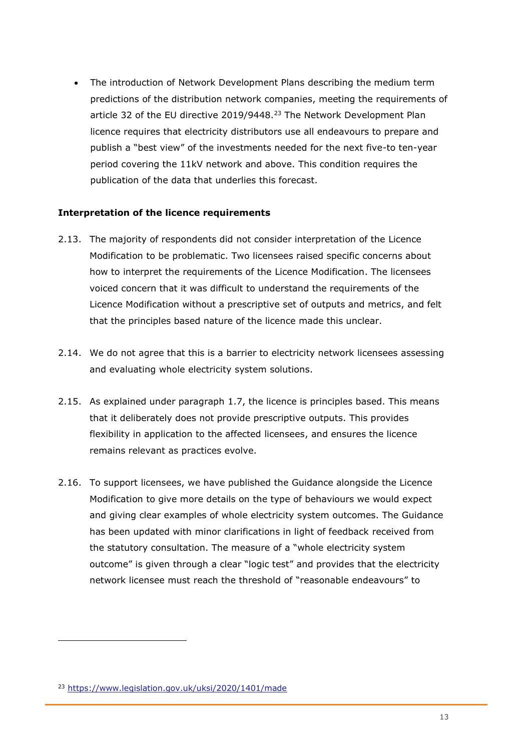The introduction of Network Development Plans describing the medium term predictions of the distribution network companies, meeting the requirements of article 32 of the EU directive 2019/9448.<sup>23</sup> The Network Development Plan licence requires that electricity distributors use all endeavours to prepare and publish a "best view" of the investments needed for the next five-to ten-year period covering the 11kV network and above. This condition requires the publication of the data that underlies this forecast.

#### <span id="page-13-0"></span>**Interpretation of the licence requirements**

- 2.13. The majority of respondents did not consider interpretation of the Licence Modification to be problematic. Two licensees raised specific concerns about how to interpret the requirements of the Licence Modification. The licensees voiced concern that it was difficult to understand the requirements of the Licence Modification without a prescriptive set of outputs and metrics, and felt that the principles based nature of the licence made this unclear.
- 2.14. We do not agree that this is a barrier to electricity network licensees assessing and evaluating whole electricity system solutions.
- 2.15. As explained under paragraph 1.7, the licence is principles based. This means that it deliberately does not provide prescriptive outputs. This provides flexibility in application to the affected licensees, and ensures the licence remains relevant as practices evolve.
- 2.16. To support licensees, we have published the Guidance alongside the Licence Modification to give more details on the type of behaviours we would expect and giving clear examples of whole electricity system outcomes. The Guidance has been updated with minor clarifications in light of feedback received from the statutory consultation. The measure of a "whole electricity system outcome" is given through a clear "logic test" and provides that the electricity network licensee must reach the threshold of "reasonable endeavours" to

<sup>23</sup> <https://www.legislation.gov.uk/uksi/2020/1401/made>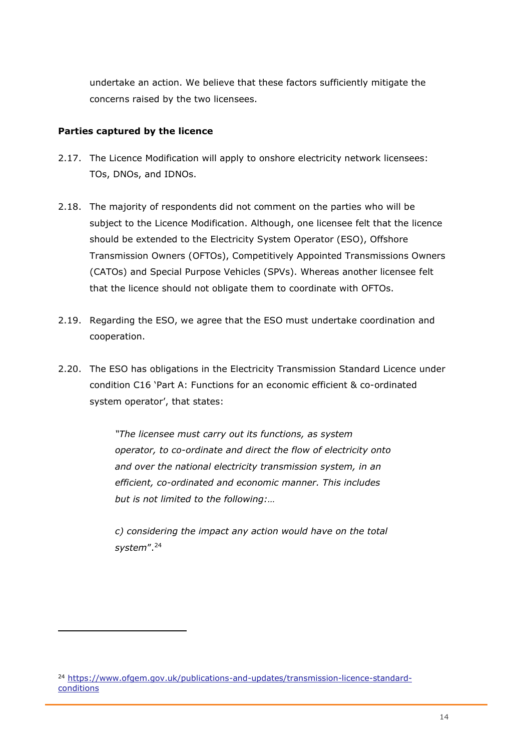undertake an action. We believe that these factors sufficiently mitigate the concerns raised by the two licensees.

#### <span id="page-14-0"></span>**Parties captured by the licence**

- 2.17. The Licence Modification will apply to onshore electricity network licensees: TOs, DNOs, and IDNOs.
- 2.18. The majority of respondents did not comment on the parties who will be subject to the Licence Modification. Although, one licensee felt that the licence should be extended to the Electricity System Operator (ESO), Offshore Transmission Owners (OFTOs), Competitively Appointed Transmissions Owners (CATOs) and Special Purpose Vehicles (SPVs). Whereas another licensee felt that the licence should not obligate them to coordinate with OFTOs.
- 2.19. Regarding the ESO, we agree that the ESO must undertake coordination and cooperation.
- 2.20. The ESO has obligations in the Electricity Transmission Standard Licence under condition C16 'Part A: Functions for an economic efficient & co-ordinated system operator', that states:

*"The licensee must carry out its functions, as system operator, to co-ordinate and direct the flow of electricity onto and over the national electricity transmission system, in an efficient, co-ordinated and economic manner. This includes but is not limited to the following:…* 

*c) considering the impact any action would have on the total system*".<sup>24</sup>

<sup>24</sup> [https://www.ofgem.gov.uk/publications-and-updates/transmission-licence-standard](https://www.ofgem.gov.uk/publications-and-updates/transmission-licence-standard-conditions)[conditions](https://www.ofgem.gov.uk/publications-and-updates/transmission-licence-standard-conditions)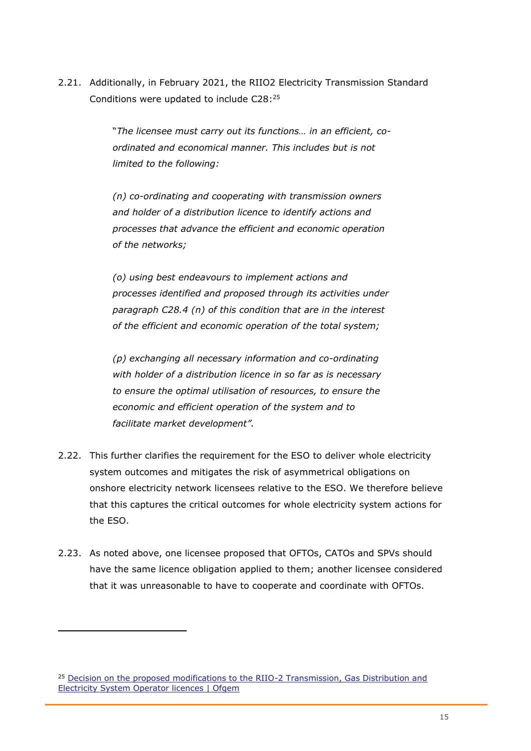2.21. Additionally, in February 2021, the RIIO2 Electricity Transmission Standard Conditions were updated to include C28: 25

> "*The licensee must carry out its functions… in an efficient, coordinated and economical manner. This includes but is not limited to the following:*

*(n) co-ordinating and cooperating with transmission owners and holder of a distribution licence to identify actions and processes that advance the efficient and economic operation of the networks;*

*(o) using best endeavours to implement actions and processes identified and proposed through its activities under paragraph C28.4 (n) of this condition that are in the interest of the efficient and economic operation of the total system;*

*(p) exchanging all necessary information and co-ordinating with holder of a distribution licence in so far as is necessary to ensure the optimal utilisation of resources, to ensure the economic and efficient operation of the system and to facilitate market development".*

- 2.22. This further clarifies the requirement for the ESO to deliver whole electricity system outcomes and mitigates the risk of asymmetrical obligations on onshore electricity network licensees relative to the ESO. We therefore believe that this captures the critical outcomes for whole electricity system actions for the ESO.
- 2.23. As noted above, one licensee proposed that OFTOs, CATOs and SPVs should have the same licence obligation applied to them; another licensee considered that it was unreasonable to have to cooperate and coordinate with OFTOs.

<sup>&</sup>lt;sup>25</sup> Decision on the proposed modifications to the RIIO-2 Transmission, Gas Distribution and [Electricity System Operator licences | Ofgem](https://www.ofgem.gov.uk/publications-and-updates/decision-proposed-modifications-riio-2-transmission-gas-distribution-and-electricity-system-operator-licences)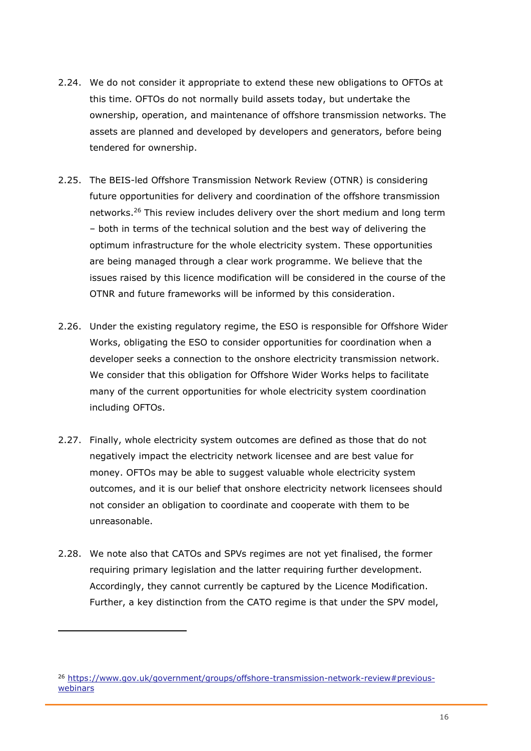- 2.24. We do not consider it appropriate to extend these new obligations to OFTOs at this time. OFTOs do not normally build assets today, but undertake the ownership, operation, and maintenance of offshore transmission networks. The assets are planned and developed by developers and generators, before being tendered for ownership.
- 2.25. The BEIS-led Offshore Transmission Network Review (OTNR) is considering future opportunities for delivery and coordination of the offshore transmission networks.<sup>26</sup> This review includes delivery over the short medium and long term – both in terms of the technical solution and the best way of delivering the optimum infrastructure for the whole electricity system. These opportunities are being managed through a clear work programme. We believe that the issues raised by this licence modification will be considered in the course of the OTNR and future frameworks will be informed by this consideration.
- 2.26. Under the existing regulatory regime, the ESO is responsible for Offshore Wider Works, obligating the ESO to consider opportunities for coordination when a developer seeks a connection to the onshore electricity transmission network. We consider that this obligation for Offshore Wider Works helps to facilitate many of the current opportunities for whole electricity system coordination including OFTOs.
- 2.27. Finally, whole electricity system outcomes are defined as those that do not negatively impact the electricity network licensee and are best value for money. OFTOs may be able to suggest valuable whole electricity system outcomes, and it is our belief that onshore electricity network licensees should not consider an obligation to coordinate and cooperate with them to be unreasonable.
- 2.28. We note also that CATOs and SPVs regimes are not yet finalised, the former requiring primary legislation and the latter requiring further development. Accordingly, they cannot currently be captured by the Licence Modification. Further, a key distinction from the CATO regime is that under the SPV model,

<sup>26</sup> [https://www.gov.uk/government/groups/offshore-transmission-network-review#previous](https://www.gov.uk/government/groups/offshore-transmission-network-review#previous-webinars)[webinars](https://www.gov.uk/government/groups/offshore-transmission-network-review#previous-webinars)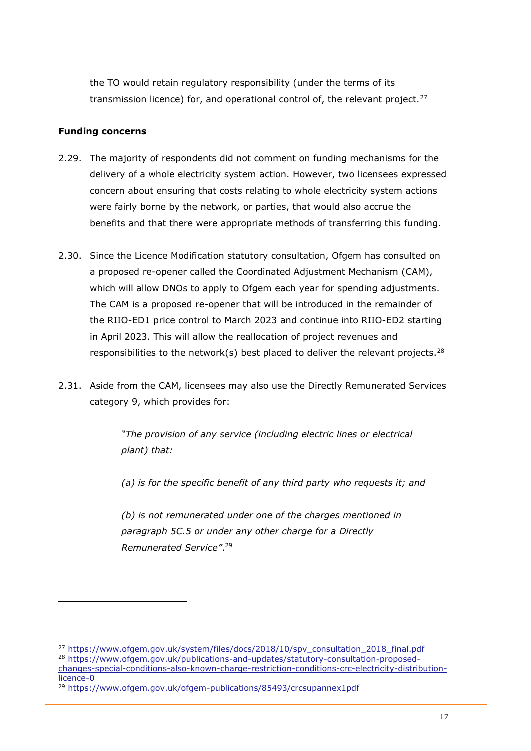the TO would retain regulatory responsibility (under the terms of its transmission licence) for, and operational control of, the relevant project.<sup>27</sup>

#### <span id="page-17-0"></span>**Funding concerns**

- 2.29. The majority of respondents did not comment on funding mechanisms for the delivery of a whole electricity system action. However, two licensees expressed concern about ensuring that costs relating to whole electricity system actions were fairly borne by the network, or parties, that would also accrue the benefits and that there were appropriate methods of transferring this funding.
- 2.30. Since the Licence Modification statutory consultation, Ofgem has consulted on a proposed re-opener called the Coordinated Adjustment Mechanism (CAM), which will allow DNOs to apply to Ofgem each year for spending adjustments. The CAM is a proposed re-opener that will be introduced in the remainder of the RIIO-ED1 price control to March 2023 and continue into RIIO-ED2 starting in April 2023. This will allow the reallocation of project revenues and responsibilities to the network(s) best placed to deliver the relevant projects.<sup>28</sup>
- 2.31. Aside from the CAM, licensees may also use the Directly Remunerated Services category 9, which provides for:

*"The provision of any service (including electric lines or electrical plant) that:* 

*(a) is for the specific benefit of any third party who requests it; and* 

*(b) is not remunerated under one of the charges mentioned in paragraph 5C.5 or under any other charge for a Directly Remunerated Service"*. 29

<sup>&</sup>lt;sup>27</sup> [https://www.ofgem.gov.uk/system/files/docs/2018/10/spv\\_consultation\\_2018\\_final.pdf](https://www.ofgem.gov.uk/system/files/docs/2018/10/spv_consultation_2018_final.pdf) <sup>28</sup> [https://www.ofgem.gov.uk/publications-and-updates/statutory-consultation-proposed](https://www.ofgem.gov.uk/publications-and-updates/statutory-consultation-proposed-changes-special-conditions-also-known-charge-restriction-conditions-crc-electricity-distribution-licence-0)[changes-special-conditions-also-known-charge-restriction-conditions-crc-electricity-distribution](https://www.ofgem.gov.uk/publications-and-updates/statutory-consultation-proposed-changes-special-conditions-also-known-charge-restriction-conditions-crc-electricity-distribution-licence-0)[licence-0](https://www.ofgem.gov.uk/publications-and-updates/statutory-consultation-proposed-changes-special-conditions-also-known-charge-restriction-conditions-crc-electricity-distribution-licence-0)

<sup>&</sup>lt;sup>29</sup> <https://www.ofgem.gov.uk/ofgem-publications/85493/crcsupannex1pdf>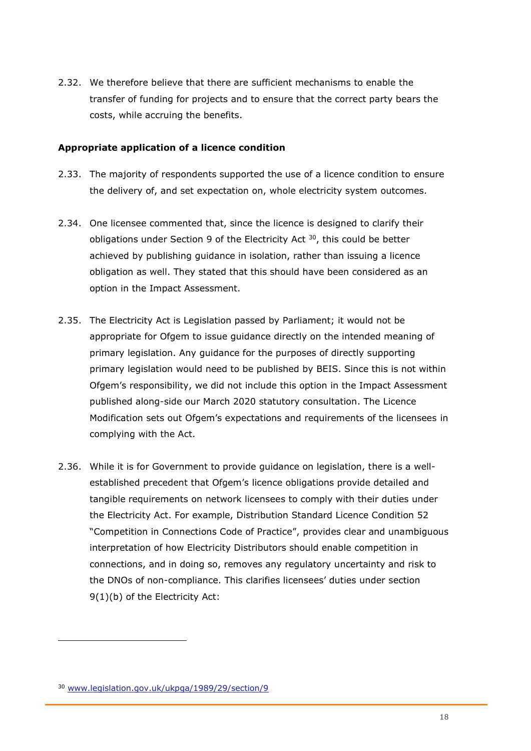2.32. We therefore believe that there are sufficient mechanisms to enable the transfer of funding for projects and to ensure that the correct party bears the costs, while accruing the benefits.

#### <span id="page-18-0"></span>**Appropriate application of a licence condition**

- 2.33. The majority of respondents supported the use of a licence condition to ensure the delivery of, and set expectation on, whole electricity system outcomes.
- 2.34. One licensee commented that, since the licence is designed to clarify their obligations under Section 9 of the Electricity Act  $30$ , this could be better achieved by publishing guidance in isolation, rather than issuing a licence obligation as well. They stated that this should have been considered as an option in the Impact Assessment.
- 2.35. The Electricity Act is Legislation passed by Parliament; it would not be appropriate for Ofgem to issue guidance directly on the intended meaning of primary legislation. Any guidance for the purposes of directly supporting primary legislation would need to be published by BEIS. Since this is not within Ofgem's responsibility, we did not include this option in the Impact Assessment published along-side our March 2020 statutory consultation. The Licence Modification sets out Ofgem's expectations and requirements of the licensees in complying with the Act.
- 2.36. While it is for Government to provide guidance on legislation, there is a wellestablished precedent that Ofgem's licence obligations provide detailed and tangible requirements on network licensees to comply with their duties under the Electricity Act. For example, Distribution Standard Licence Condition 52 "Competition in Connections Code of Practice", provides clear and unambiguous interpretation of how Electricity Distributors should enable competition in connections, and in doing so, removes any regulatory uncertainty and risk to the DNOs of non-compliance. This clarifies licensees' duties under section 9(1)(b) of the Electricity Act:

<sup>30</sup> [www.legislation.gov.uk/ukpga/1989/29/section/9](http://www.legislation.gov.uk/ukpga/1989/29/section/9)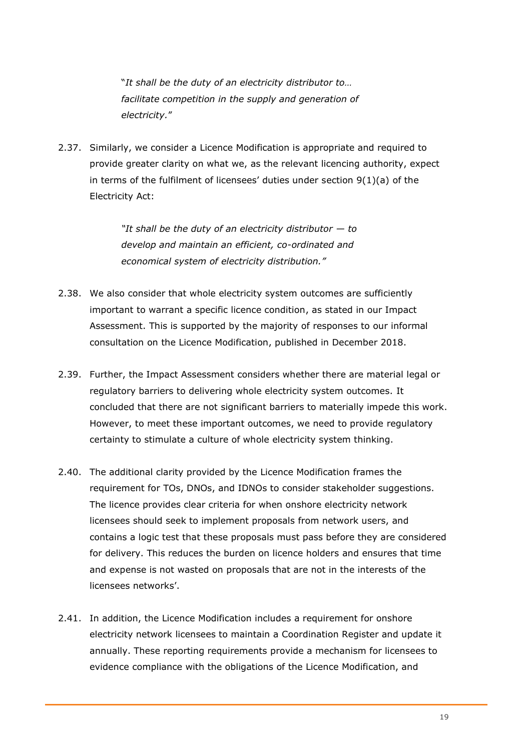"*It shall be the duty of an electricity distributor to… facilitate competition in the supply and generation of electricity.*"

2.37. Similarly, we consider a Licence Modification is appropriate and required to provide greater clarity on what we, as the relevant licencing authority, expect in terms of the fulfilment of licensees' duties under section 9(1)(a) of the Electricity Act:

> *"It shall be the duty of an electricity distributor — to develop and maintain an efficient, co-ordinated and economical system of electricity distribution."*

- 2.38. We also consider that whole electricity system outcomes are sufficiently important to warrant a specific licence condition, as stated in our Impact Assessment. This is supported by the majority of responses to our informal consultation on the Licence Modification, published in December 2018.
- 2.39. Further, the Impact Assessment considers whether there are material legal or regulatory barriers to delivering whole electricity system outcomes. It concluded that there are not significant barriers to materially impede this work. However, to meet these important outcomes, we need to provide regulatory certainty to stimulate a culture of whole electricity system thinking.
- 2.40. The additional clarity provided by the Licence Modification frames the requirement for TOs, DNOs, and IDNOs to consider stakeholder suggestions. The licence provides clear criteria for when onshore electricity network licensees should seek to implement proposals from network users, and contains a logic test that these proposals must pass before they are considered for delivery. This reduces the burden on licence holders and ensures that time and expense is not wasted on proposals that are not in the interests of the licensees networks'.
- 2.41. In addition, the Licence Modification includes a requirement for onshore electricity network licensees to maintain a Coordination Register and update it annually. These reporting requirements provide a mechanism for licensees to evidence compliance with the obligations of the Licence Modification, and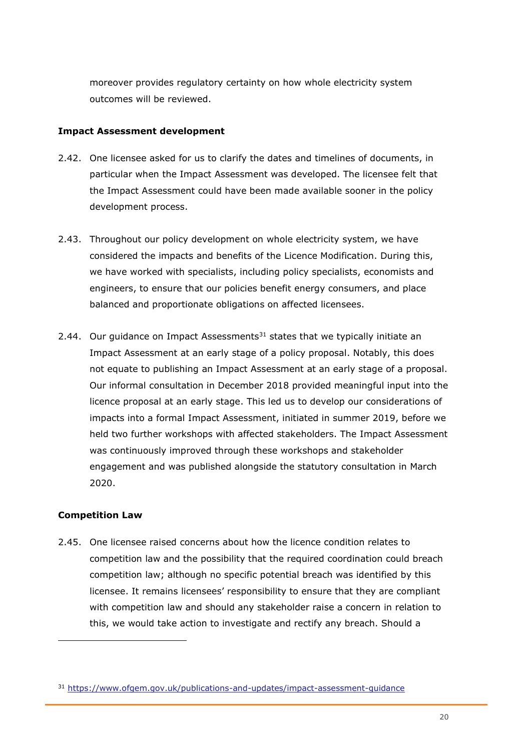moreover provides regulatory certainty on how whole electricity system outcomes will be reviewed.

#### <span id="page-20-0"></span>**Impact Assessment development**

- 2.42. One licensee asked for us to clarify the dates and timelines of documents, in particular when the Impact Assessment was developed. The licensee felt that the Impact Assessment could have been made available sooner in the policy development process.
- 2.43. Throughout our policy development on whole electricity system, we have considered the impacts and benefits of the Licence Modification. During this, we have worked with specialists, including policy specialists, economists and engineers, to ensure that our policies benefit energy consumers, and place balanced and proportionate obligations on affected licensees.
- 2.44. Our quidance on Impact Assessments<sup>31</sup> states that we typically initiate an Impact Assessment at an early stage of a policy proposal. Notably, this does not equate to publishing an Impact Assessment at an early stage of a proposal. Our informal consultation in December 2018 provided meaningful input into the licence proposal at an early stage. This led us to develop our considerations of impacts into a formal Impact Assessment, initiated in summer 2019, before we held two further workshops with affected stakeholders. The Impact Assessment was continuously improved through these workshops and stakeholder engagement and was published alongside the statutory consultation in March 2020.

#### <span id="page-20-1"></span>**Competition Law**

2.45. One licensee raised concerns about how the licence condition relates to competition law and the possibility that the required coordination could breach competition law; although no specific potential breach was identified by this licensee. It remains licensees' responsibility to ensure that they are compliant with competition law and should any stakeholder raise a concern in relation to this, we would take action to investigate and rectify any breach. Should a

<sup>31</sup> <https://www.ofgem.gov.uk/publications-and-updates/impact-assessment-guidance>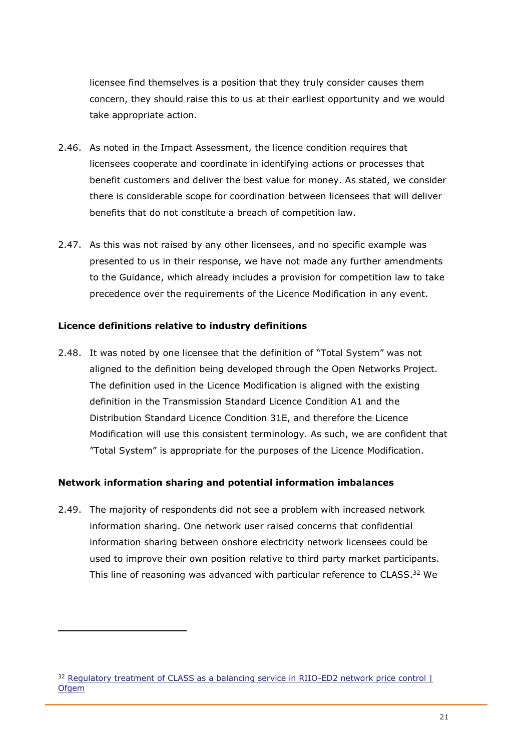licensee find themselves is a position that they truly consider causes them concern, they should raise this to us at their earliest opportunity and we would take appropriate action.

- 2.46. As noted in the Impact Assessment, the licence condition requires that licensees cooperate and coordinate in identifying actions or processes that benefit customers and deliver the best value for money. As stated, we consider there is considerable scope for coordination between licensees that will deliver benefits that do not constitute a breach of competition law.
- 2.47. As this was not raised by any other licensees, and no specific example was presented to us in their response, we have not made any further amendments to the Guidance, which already includes a provision for competition law to take precedence over the requirements of the Licence Modification in any event.

#### <span id="page-21-0"></span>**Licence definitions relative to industry definitions**

2.48. It was noted by one licensee that the definition of "Total System" was not aligned to the definition being developed through the Open Networks Project. The definition used in the Licence Modification is aligned with the existing definition in the Transmission Standard Licence Condition A1 and the Distribution Standard Licence Condition 31E, and therefore the Licence Modification will use this consistent terminology. As such, we are confident that "Total System" is appropriate for the purposes of the Licence Modification.

#### <span id="page-21-1"></span>**Network information sharing and potential information imbalances**

2.49. The majority of respondents did not see a problem with increased network information sharing. One network user raised concerns that confidential information sharing between onshore electricity network licensees could be used to improve their own position relative to third party market participants. This line of reasoning was advanced with particular reference to CLASS.<sup>32</sup> We

<sup>&</sup>lt;sup>32</sup> Regulatory treatment of CLASS as a balancing service in RIIO-ED2 network price control | **[Ofgem](https://www.ofgem.gov.uk/publications-and-updates/regulatory-treatment-class-balancing-service-riio-ed2-network-price-control)**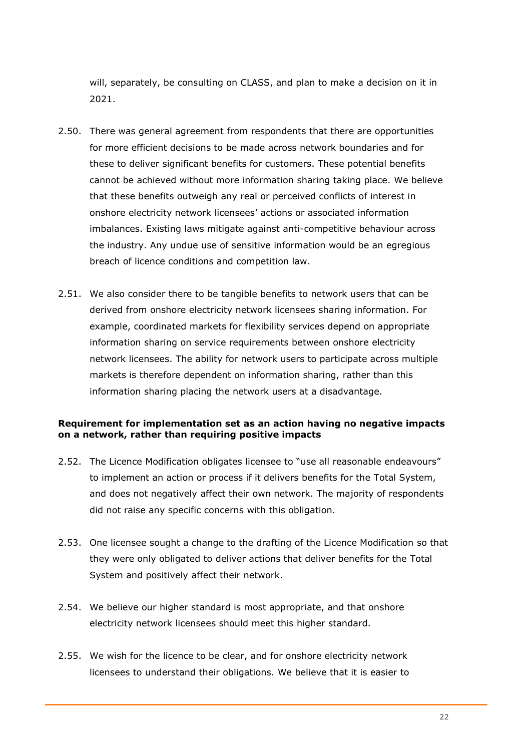will, separately, be consulting on CLASS, and plan to make a decision on it in 2021.

- 2.50. There was general agreement from respondents that there are opportunities for more efficient decisions to be made across network boundaries and for these to deliver significant benefits for customers. These potential benefits cannot be achieved without more information sharing taking place. We believe that these benefits outweigh any real or perceived conflicts of interest in onshore electricity network licensees' actions or associated information imbalances. Existing laws mitigate against anti-competitive behaviour across the industry. Any undue use of sensitive information would be an egregious breach of licence conditions and competition law.
- 2.51. We also consider there to be tangible benefits to network users that can be derived from onshore electricity network licensees sharing information. For example, coordinated markets for flexibility services depend on appropriate information sharing on service requirements between onshore electricity network licensees. The ability for network users to participate across multiple markets is therefore dependent on information sharing, rather than this information sharing placing the network users at a disadvantage.

#### <span id="page-22-0"></span>**Requirement for implementation set as an action having no negative impacts on a network, rather than requiring positive impacts**

- 2.52. The Licence Modification obligates licensee to "use all reasonable endeavours" to implement an action or process if it delivers benefits for the Total System, and does not negatively affect their own network. The majority of respondents did not raise any specific concerns with this obligation.
- 2.53. One licensee sought a change to the drafting of the Licence Modification so that they were only obligated to deliver actions that deliver benefits for the Total System and positively affect their network.
- 2.54. We believe our higher standard is most appropriate, and that onshore electricity network licensees should meet this higher standard.
- 2.55. We wish for the licence to be clear, and for onshore electricity network licensees to understand their obligations. We believe that it is easier to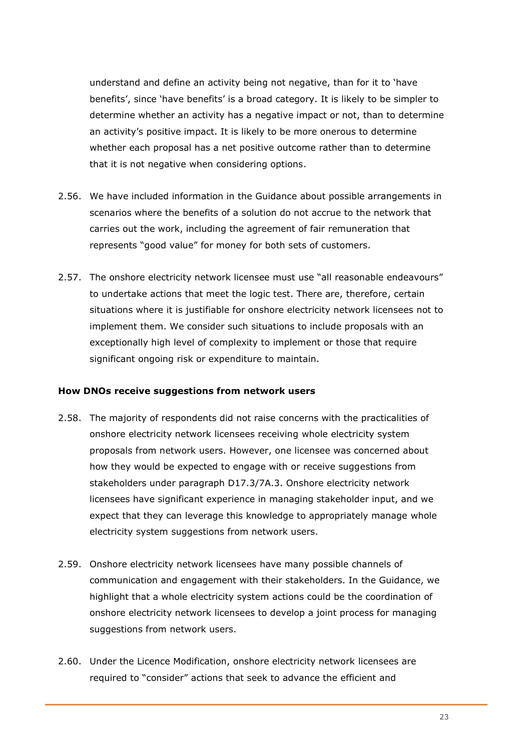understand and define an activity being not negative, than for it to 'have benefits', since 'have benefits' is a broad category. It is likely to be simpler to determine whether an activity has a negative impact or not, than to determine an activity's positive impact. It is likely to be more onerous to determine whether each proposal has a net positive outcome rather than to determine that it is not negative when considering options.

- 2.56. We have included information in the Guidance about possible arrangements in scenarios where the benefits of a solution do not accrue to the network that carries out the work, including the agreement of fair remuneration that represents "good value" for money for both sets of customers.
- 2.57. The onshore electricity network licensee must use "all reasonable endeavours" to undertake actions that meet the logic test. There are, therefore, certain situations where it is justifiable for onshore electricity network licensees not to implement them. We consider such situations to include proposals with an exceptionally high level of complexity to implement or those that require significant ongoing risk or expenditure to maintain.

#### <span id="page-23-0"></span>**How DNOs receive suggestions from network users**

- 2.58. The majority of respondents did not raise concerns with the practicalities of onshore electricity network licensees receiving whole electricity system proposals from network users. However, one licensee was concerned about how they would be expected to engage with or receive suggestions from stakeholders under paragraph D17.3/7A.3. Onshore electricity network licensees have significant experience in managing stakeholder input, and we expect that they can leverage this knowledge to appropriately manage whole electricity system suggestions from network users.
- 2.59. Onshore electricity network licensees have many possible channels of communication and engagement with their stakeholders. In the Guidance, we highlight that a whole electricity system actions could be the coordination of onshore electricity network licensees to develop a joint process for managing suggestions from network users.
- 2.60. Under the Licence Modification, onshore electricity network licensees are required to "consider" actions that seek to advance the efficient and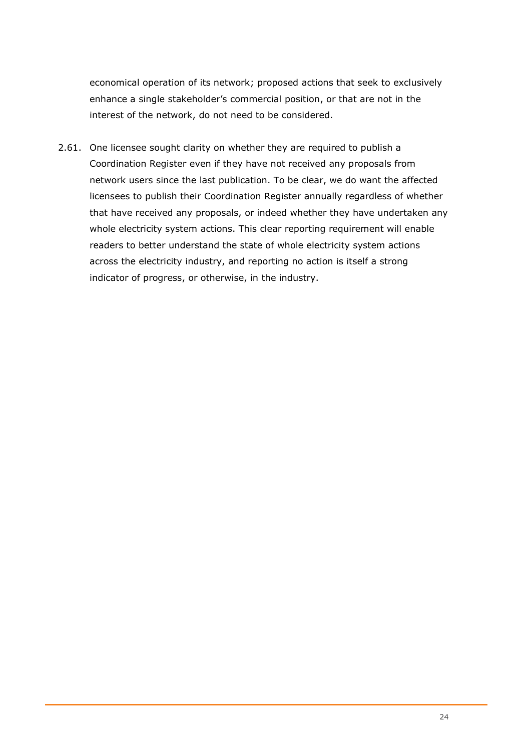economical operation of its network; proposed actions that seek to exclusively enhance a single stakeholder's commercial position, or that are not in the interest of the network, do not need to be considered.

2.61. One licensee sought clarity on whether they are required to publish a Coordination Register even if they have not received any proposals from network users since the last publication. To be clear, we do want the affected licensees to publish their Coordination Register annually regardless of whether that have received any proposals, or indeed whether they have undertaken any whole electricity system actions. This clear reporting requirement will enable readers to better understand the state of whole electricity system actions across the electricity industry, and reporting no action is itself a strong indicator of progress, or otherwise, in the industry.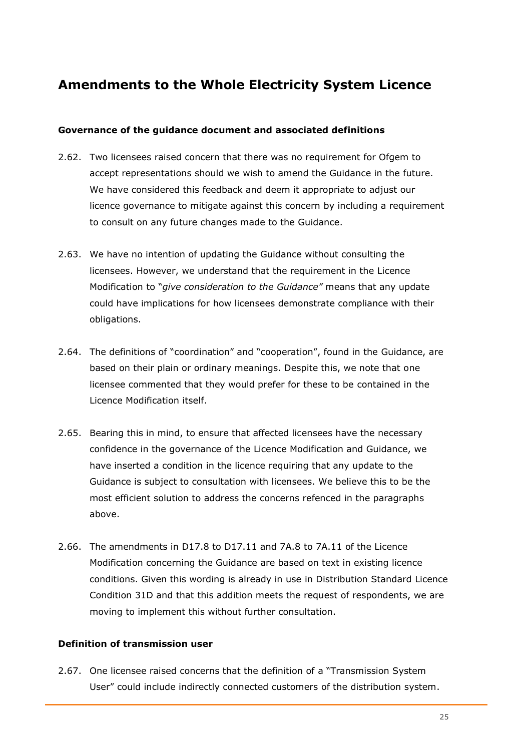# <span id="page-25-0"></span>**Amendments to the Whole Electricity System Licence**

#### <span id="page-25-1"></span>**Governance of the guidance document and associated definitions**

- 2.62. Two licensees raised concern that there was no requirement for Ofgem to accept representations should we wish to amend the Guidance in the future. We have considered this feedback and deem it appropriate to adjust our licence governance to mitigate against this concern by including a requirement to consult on any future changes made to the Guidance.
- 2.63. We have no intention of updating the Guidance without consulting the licensees. However, we understand that the requirement in the Licence Modification to "*give consideration to the Guidance"* means that any update could have implications for how licensees demonstrate compliance with their obligations.
- 2.64. The definitions of "coordination" and "cooperation", found in the Guidance, are based on their plain or ordinary meanings. Despite this, we note that one licensee commented that they would prefer for these to be contained in the Licence Modification itself.
- 2.65. Bearing this in mind, to ensure that affected licensees have the necessary confidence in the governance of the Licence Modification and Guidance, we have inserted a condition in the licence requiring that any update to the Guidance is subject to consultation with licensees. We believe this to be the most efficient solution to address the concerns refenced in the paragraphs above.
- 2.66. The amendments in D17.8 to D17.11 and 7A.8 to 7A.11 of the Licence Modification concerning the Guidance are based on text in existing licence conditions. Given this wording is already in use in Distribution Standard Licence Condition 31D and that this addition meets the request of respondents, we are moving to implement this without further consultation.

#### <span id="page-25-2"></span>**Definition of transmission user**

2.67. One licensee raised concerns that the definition of a "Transmission System User" could include indirectly connected customers of the distribution system.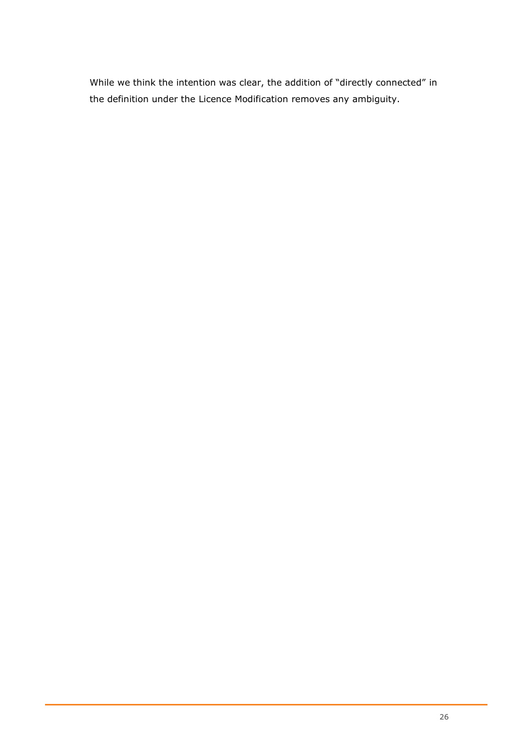While we think the intention was clear, the addition of "directly connected" in the definition under the Licence Modification removes any ambiguity.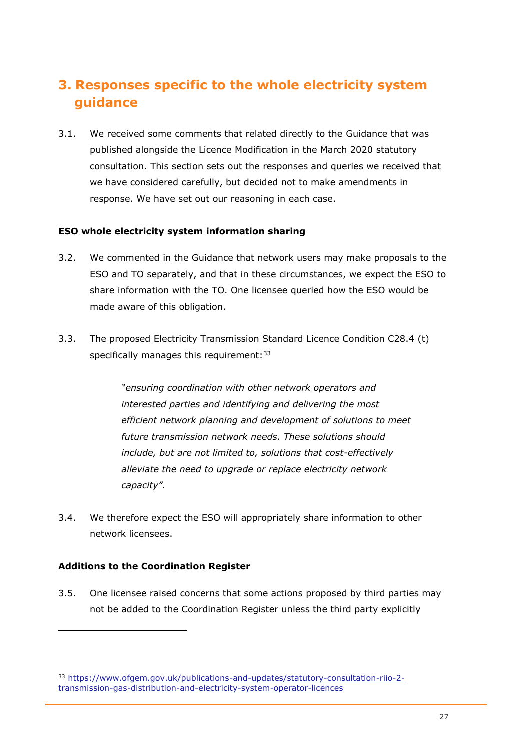# <span id="page-27-0"></span>**3. Responses specific to the whole electricity system guidance**

3.1. We received some comments that related directly to the Guidance that was published alongside the Licence Modification in the March 2020 statutory consultation. This section sets out the responses and queries we received that we have considered carefully, but decided not to make amendments in response. We have set out our reasoning in each case.

#### <span id="page-27-1"></span>**ESO whole electricity system information sharing**

- 3.2. We commented in the Guidance that network users may make proposals to the ESO and TO separately, and that in these circumstances, we expect the ESO to share information with the TO. One licensee queried how the ESO would be made aware of this obligation.
- 3.3. The proposed Electricity Transmission Standard Licence Condition C28.4 (t) specifically manages this requirement:  $33$

*"ensuring coordination with other network operators and interested parties and identifying and delivering the most efficient network planning and development of solutions to meet future transmission network needs. These solutions should include, but are not limited to, solutions that cost-effectively alleviate the need to upgrade or replace electricity network capacity".*

3.4. We therefore expect the ESO will appropriately share information to other network licensees.

#### <span id="page-27-2"></span>**Additions to the Coordination Register**

3.5. One licensee raised concerns that some actions proposed by third parties may not be added to the Coordination Register unless the third party explicitly

<sup>33</sup> [https://www.ofgem.gov.uk/publications-and-updates/statutory-consultation-riio-2](https://www.ofgem.gov.uk/publications-and-updates/statutory-consultation-riio-2-transmission-gas-distribution-and-electricity-system-operator-licences) [transmission-gas-distribution-and-electricity-system-operator-licences](https://www.ofgem.gov.uk/publications-and-updates/statutory-consultation-riio-2-transmission-gas-distribution-and-electricity-system-operator-licences)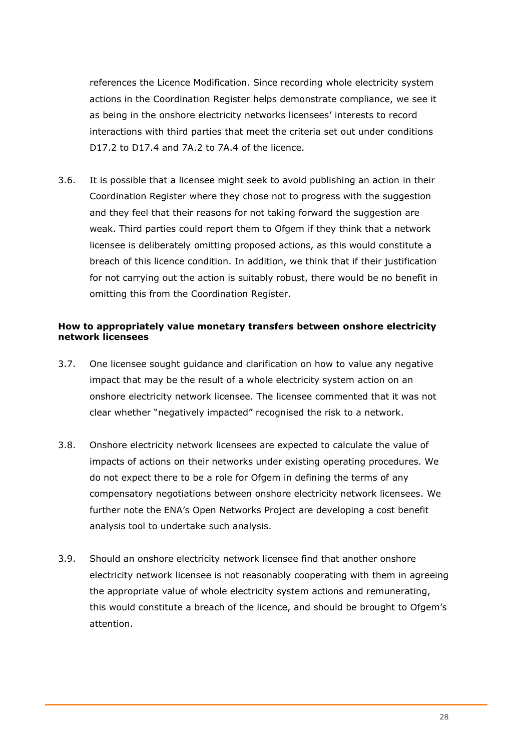references the Licence Modification. Since recording whole electricity system actions in the Coordination Register helps demonstrate compliance, we see it as being in the onshore electricity networks licensees' interests to record interactions with third parties that meet the criteria set out under conditions D17.2 to D17.4 and 7A.2 to 7A.4 of the licence.

3.6. It is possible that a licensee might seek to avoid publishing an action in their Coordination Register where they chose not to progress with the suggestion and they feel that their reasons for not taking forward the suggestion are weak. Third parties could report them to Ofgem if they think that a network licensee is deliberately omitting proposed actions, as this would constitute a breach of this licence condition. In addition, we think that if their justification for not carrying out the action is suitably robust, there would be no benefit in omitting this from the Coordination Register.

#### <span id="page-28-0"></span>**How to appropriately value monetary transfers between onshore electricity network licensees**

- 3.7. One licensee sought guidance and clarification on how to value any negative impact that may be the result of a whole electricity system action on an onshore electricity network licensee. The licensee commented that it was not clear whether "negatively impacted" recognised the risk to a network.
- 3.8. Onshore electricity network licensees are expected to calculate the value of impacts of actions on their networks under existing operating procedures. We do not expect there to be a role for Ofgem in defining the terms of any compensatory negotiations between onshore electricity network licensees. We further note the ENA's Open Networks Project are developing a cost benefit analysis tool to undertake such analysis.
- 3.9. Should an onshore electricity network licensee find that another onshore electricity network licensee is not reasonably cooperating with them in agreeing the appropriate value of whole electricity system actions and remunerating, this would constitute a breach of the licence, and should be brought to Ofgem's attention.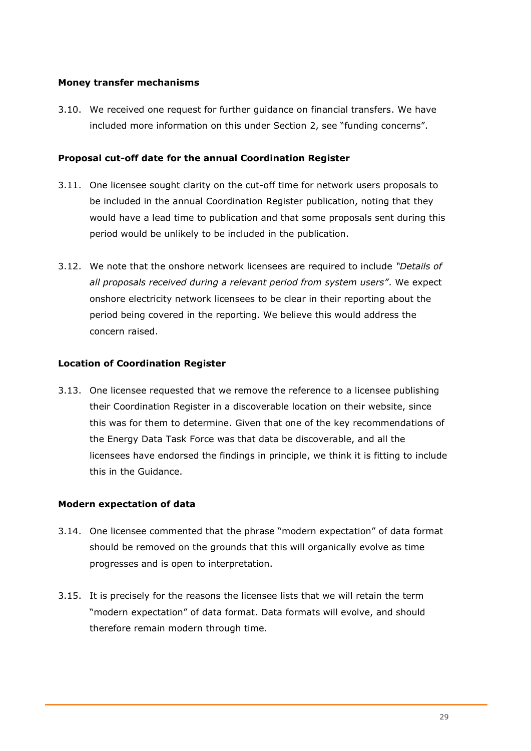#### <span id="page-29-0"></span>**Money transfer mechanisms**

3.10. We received one request for further guidance on financial transfers. We have included more information on this under Section 2, see "funding concerns".

#### <span id="page-29-1"></span>**Proposal cut-off date for the annual Coordination Register**

- 3.11. One licensee sought clarity on the cut-off time for network users proposals to be included in the annual Coordination Register publication, noting that they would have a lead time to publication and that some proposals sent during this period would be unlikely to be included in the publication.
- 3.12. We note that the onshore network licensees are required to include *"Details of all proposals received during a relevant period from system users"*. We expect onshore electricity network licensees to be clear in their reporting about the period being covered in the reporting. We believe this would address the concern raised.

#### <span id="page-29-2"></span>**Location of Coordination Register**

3.13. One licensee requested that we remove the reference to a licensee publishing their Coordination Register in a discoverable location on their website, since this was for them to determine. Given that one of the key recommendations of the Energy Data Task Force was that data be discoverable, and all the licensees have endorsed the findings in principle, we think it is fitting to include this in the Guidance.

#### <span id="page-29-3"></span>**Modern expectation of data**

- 3.14. One licensee commented that the phrase "modern expectation" of data format should be removed on the grounds that this will organically evolve as time progresses and is open to interpretation.
- 3.15. It is precisely for the reasons the licensee lists that we will retain the term "modern expectation" of data format. Data formats will evolve, and should therefore remain modern through time.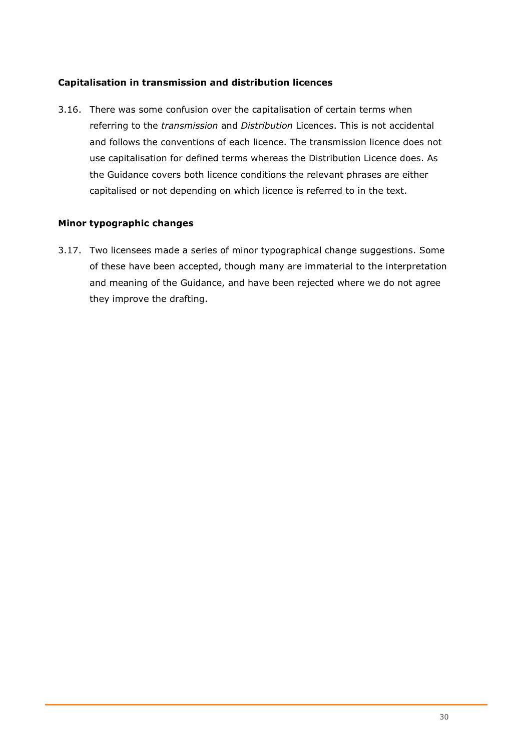#### <span id="page-30-0"></span>**Capitalisation in transmission and distribution licences**

3.16. There was some confusion over the capitalisation of certain terms when referring to the *transmission* and *Distribution* Licences. This is not accidental and follows the conventions of each licence. The transmission licence does not use capitalisation for defined terms whereas the Distribution Licence does. As the Guidance covers both licence conditions the relevant phrases are either capitalised or not depending on which licence is referred to in the text.

#### <span id="page-30-1"></span>**Minor typographic changes**

3.17. Two licensees made a series of minor typographical change suggestions. Some of these have been accepted, though many are immaterial to the interpretation and meaning of the Guidance, and have been rejected where we do not agree they improve the drafting.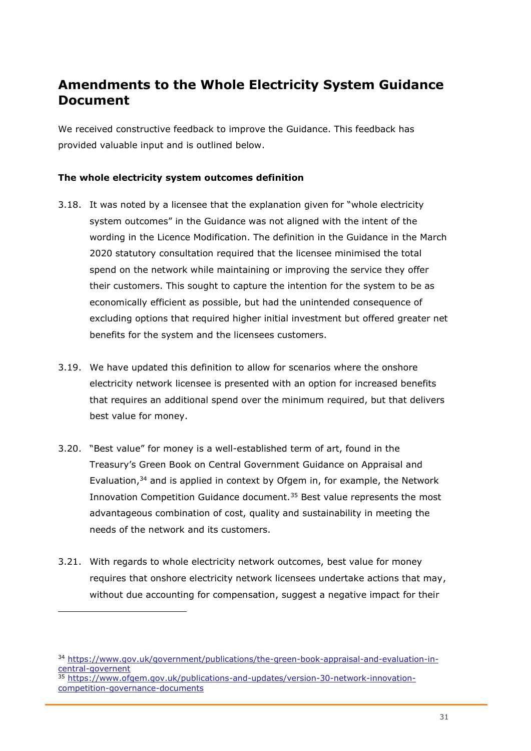# <span id="page-31-0"></span>**Amendments to the Whole Electricity System Guidance Document**

We received constructive feedback to improve the Guidance. This feedback has provided valuable input and is outlined below.

#### <span id="page-31-1"></span>**The whole electricity system outcomes definition**

- 3.18. It was noted by a licensee that the explanation given for "whole electricity system outcomes" in the Guidance was not aligned with the intent of the wording in the Licence Modification. The definition in the Guidance in the March 2020 statutory consultation required that the licensee minimised the total spend on the network while maintaining or improving the service they offer their customers. This sought to capture the intention for the system to be as economically efficient as possible, but had the unintended consequence of excluding options that required higher initial investment but offered greater net benefits for the system and the licensees customers.
- 3.19. We have updated this definition to allow for scenarios where the onshore electricity network licensee is presented with an option for increased benefits that requires an additional spend over the minimum required, but that delivers best value for money.
- 3.20. "Best value" for money is a well-established term of art, found in the Treasury's Green Book on Central Government Guidance on Appraisal and Evaluation,<sup>34</sup> and is applied in context by Ofgem in, for example, the Network Innovation Competition Guidance document.<sup>35</sup> Best value represents the most advantageous combination of cost, quality and sustainability in meeting the needs of the network and its customers.
- 3.21. With regards to whole electricity network outcomes, best value for money requires that onshore electricity network licensees undertake actions that may, without due accounting for compensation, suggest a negative impact for their

<sup>34</sup> [https://www.gov.uk/government/publications/the-green-book-appraisal-and-evaluation-in](https://www.gov.uk/government/publications/the-green-book-appraisal-and-evaluation-in-central-governent)[central-governent](https://www.gov.uk/government/publications/the-green-book-appraisal-and-evaluation-in-central-governent)

<sup>35</sup> [https://www.ofgem.gov.uk/publications-and-updates/version-30-network-innovation](https://www.ofgem.gov.uk/publications-and-updates/version-30-network-innovation-competition-governance-documents)[competition-governance-documents](https://www.ofgem.gov.uk/publications-and-updates/version-30-network-innovation-competition-governance-documents)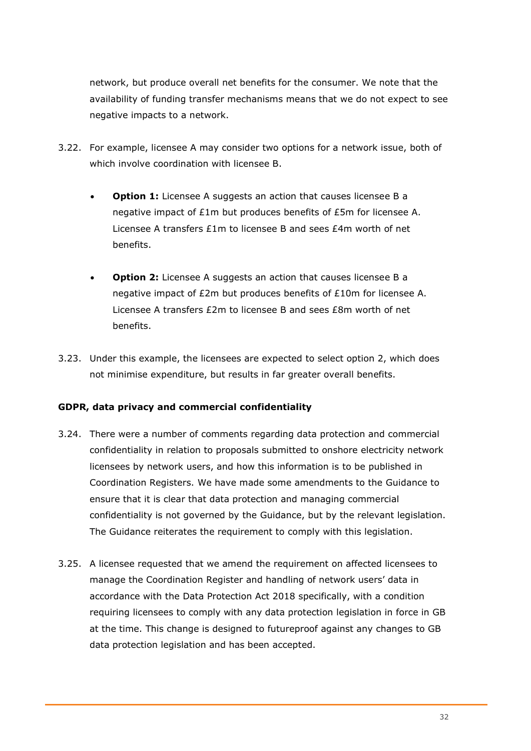network, but produce overall net benefits for the consumer. We note that the availability of funding transfer mechanisms means that we do not expect to see negative impacts to a network.

- 3.22. For example, licensee A may consider two options for a network issue, both of which involve coordination with licensee B.
	- **Option 1:** Licensee A suggests an action that causes licensee B a negative impact of £1m but produces benefits of £5m for licensee A. Licensee A transfers £1m to licensee B and sees £4m worth of net benefits.
	- **Option 2:** Licensee A suggests an action that causes licensee B a negative impact of £2m but produces benefits of £10m for licensee A. Licensee A transfers £2m to licensee B and sees £8m worth of net benefits.
- 3.23. Under this example, the licensees are expected to select option 2, which does not minimise expenditure, but results in far greater overall benefits.

#### <span id="page-32-0"></span>**GDPR, data privacy and commercial confidentiality**

- 3.24. There were a number of comments regarding data protection and commercial confidentiality in relation to proposals submitted to onshore electricity network licensees by network users, and how this information is to be published in Coordination Registers. We have made some amendments to the Guidance to ensure that it is clear that data protection and managing commercial confidentiality is not governed by the Guidance, but by the relevant legislation. The Guidance reiterates the requirement to comply with this legislation.
- 3.25. A licensee requested that we amend the requirement on affected licensees to manage the Coordination Register and handling of network users' data in accordance with the Data Protection Act 2018 specifically, with a condition requiring licensees to comply with any data protection legislation in force in GB at the time. This change is designed to futureproof against any changes to GB data protection legislation and has been accepted.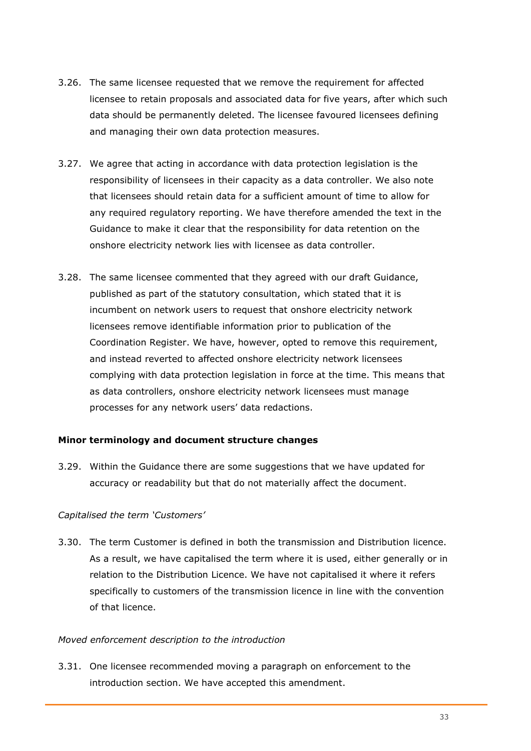- 3.26. The same licensee requested that we remove the requirement for affected licensee to retain proposals and associated data for five years, after which such data should be permanently deleted. The licensee favoured licensees defining and managing their own data protection measures.
- 3.27. We agree that acting in accordance with data protection legislation is the responsibility of licensees in their capacity as a data controller. We also note that licensees should retain data for a sufficient amount of time to allow for any required regulatory reporting. We have therefore amended the text in the Guidance to make it clear that the responsibility for data retention on the onshore electricity network lies with licensee as data controller.
- 3.28. The same licensee commented that they agreed with our draft Guidance, published as part of the statutory consultation, which stated that it is incumbent on network users to request that onshore electricity network licensees remove identifiable information prior to publication of the Coordination Register. We have, however, opted to remove this requirement, and instead reverted to affected onshore electricity network licensees complying with data protection legislation in force at the time. This means that as data controllers, onshore electricity network licensees must manage processes for any network users' data redactions.

#### <span id="page-33-0"></span>**Minor terminology and document structure changes**

3.29. Within the Guidance there are some suggestions that we have updated for accuracy or readability but that do not materially affect the document.

#### *Capitalised the term 'Customers'*

3.30. The term Customer is defined in both the transmission and Distribution licence. As a result, we have capitalised the term where it is used, either generally or in relation to the Distribution Licence. We have not capitalised it where it refers specifically to customers of the transmission licence in line with the convention of that licence.

#### *Moved enforcement description to the introduction*

3.31. One licensee recommended moving a paragraph on enforcement to the introduction section. We have accepted this amendment.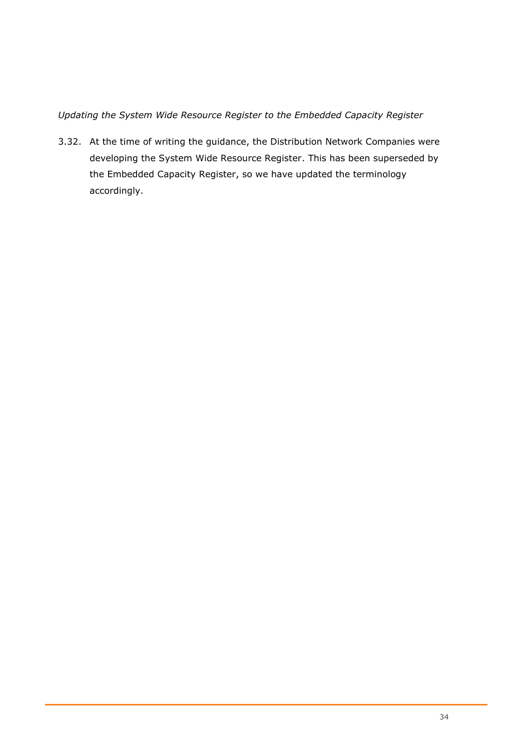*Updating the System Wide Resource Register to the Embedded Capacity Register*

3.32. At the time of writing the guidance, the Distribution Network Companies were developing the System Wide Resource Register. This has been superseded by the Embedded Capacity Register, so we have updated the terminology accordingly.